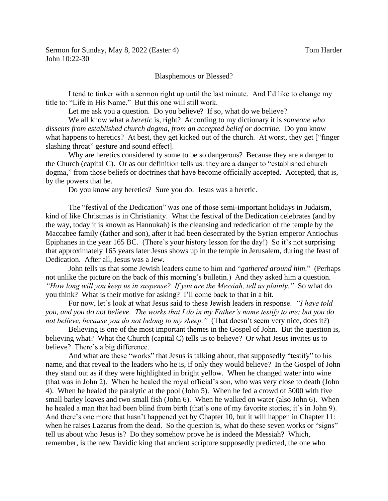## Blasphemous or Blessed?

I tend to tinker with a sermon right up until the last minute. And I'd like to change my title to: "Life in His Name." But this one will still work.

Let me ask you a question. Do you believe? If so, what do we believe?

We all know what a *heretic* is, right? According to my dictionary it is *someone who dissents from established church dogma, from an accepted belief or doctrine*. Do you know what happens to heretics? At best, they get kicked out of the church. At worst, they get ["finger slashing throat" gesture and sound effect].

Why are heretics considered ty some to be so dangerous? Because they are a danger to the Church (capital C). Or as our definition tells us: they are a danger to "established church dogma," from those beliefs or doctrines that have become officially accepted. Accepted, that is, by the powers that be.

Do you know any heretics? Sure you do. Jesus was a heretic.

The "festival of the Dedication" was one of those semi-important holidays in Judaism, kind of like Christmas is in Christianity. What the festival of the Dedication celebrates (and by the way, today it is known as Hannukah) is the cleansing and rededication of the temple by the Maccabee family (father and son), after it had been desecrated by the Syrian emperor Antiochus Epiphanes in the year 165 BC. (There's your history lesson for the day!) So it's not surprising that approximately 165 years later Jesus shows up in the temple in Jerusalem, during the feast of Dedication. After all, Jesus was a Jew.

John tells us that some Jewish leaders came to him and "*gathered around him*." (Perhaps not unlike the picture on the back of this morning's bulletin.) And they asked him a question. *"How long will you keep us in suspense? If you are the Messiah, tell us plainly."* So what do you think? What is their motive for asking? I'll come back to that in a bit.

For now, let's look at what Jesus said to these Jewish leaders in response. *"I have told you, and you do not believe. The works that I do in my Father's name testify to me; but you do not believe, because you do not belong to my sheep.*" (That doesn't seem very nice, does it?)

Believing is one of the most important themes in the Gospel of John. But the question is, believing what? What the Church (capital C) tells us to believe? Or what Jesus invites us to believe? There's a big difference.

And what are these "works" that Jesus is talking about, that supposedly "testify" to his name, and that reveal to the leaders who he is, if only they would believe? In the Gospel of John they stand out as if they were highlighted in bright yellow. When he changed water into wine (that was in John 2). When he healed the royal official's son, who was very close to death (John 4). When he healed the paralytic at the pool (John 5). When he fed a crowd of 5000 with five small barley loaves and two small fish (John 6). When he walked on water (also John 6). When he healed a man that had been blind from birth (that's one of my favorite stories; it's in John 9). And there's one more that hasn't happened yet by Chapter 10, but it will happen in Chapter 11: when he raises Lazarus from the dead. So the question is, what do these seven works or "signs" tell us about who Jesus is? Do they somehow prove he is indeed the Messiah? Which, remember, is the new Davidic king that ancient scripture supposedly predicted, the one who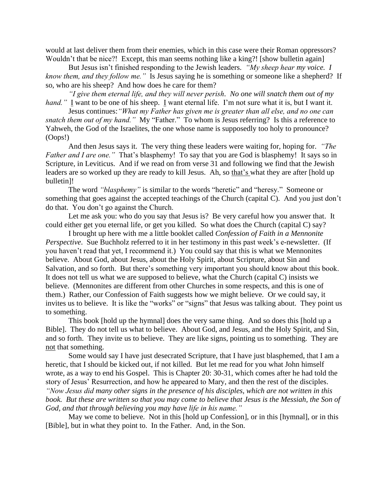would at last deliver them from their enemies, which in this case were their Roman oppressors? Wouldn't that be nice?! Except, this man seems nothing like a king?! [show bulletin again]

But Jesus isn't finished responding to the Jewish leaders. *"My sheep hear my voice. I know them, and they follow me."* Is Jesus saying he is something or someone like a shepherd? If so, who are his sheep? And how does he care for them?

*"I give them eternal life, and they will never perish. No one will snatch them out of my hand.*" I want to be one of his sheep. I want eternal life. I'm not sure what it is, but I want it.

Jesus continues:*"What my Father has given me is greater than all else, and no one can snatch them out of my hand."* My "Father." To whom is Jesus referring? Is this a reference to Yahweh, the God of the Israelites, the one whose name is supposedly too holy to pronounce? (Oops!)

And then Jesus says it. The very thing these leaders were waiting for, hoping for. *"The Father and I are one.*" That's blasphemy! To say that you are God is blasphemy! It says so in Scripture, in Leviticus. And if we read on from verse 31 and following we find that the Jewish leaders are so worked up they are ready to kill Jesus. Ah, so that's what they are after [hold up bulletin]!

The word *"blasphemy"* is similar to the words "heretic" and "heresy." Someone or something that goes against the accepted teachings of the Church (capital C). And you just don't do that. You don't go against the Church.

Let me ask you: who do you say that Jesus is? Be very careful how you answer that. It could either get you eternal life, or get you killed. So what does the Church (capital C) say?

I brought up here with me a little booklet called *Confession of Faith in a Mennonite Perspective.* Sue Buchholz referred to it in her testimony in this past week's e-newsletter. (If you haven't read that yet, I recommend it.) You could say that this is what we Mennonites believe. About God, about Jesus, about the Holy Spirit, about Scripture, about Sin and Salvation, and so forth. But there's something very important you should know about this book. It does not tell us what we are supposed to believe, what the Church (capital C) insists we believe. (Mennonites are different from other Churches in some respects, and this is one of them.) Rather, our Confession of Faith suggests how we might believe. Or we could say, it invites us to believe. It is like the "works" or "signs" that Jesus was talking about. They point us to something.

This book [hold up the hymnal] does the very same thing. And so does this [hold up a Bible]. They do not tell us what to believe. About God, and Jesus, and the Holy Spirit, and Sin, and so forth. They invite us to believe. They are like signs, pointing us to something. They are not that something.

Some would say I have just desecrated Scripture, that I have just blasphemed, that I am a heretic, that I should be kicked out, if not killed. But let me read for you what John himself wrote, as a way to end his Gospel. This is Chapter 20: 30-31, which comes after he had told the story of Jesus' Resurrection, and how he appeared to Mary, and then the rest of the disciples. *"Now Jesus did many other signs in the presence of his disciples, which are not written in this book. But these are written so that you may come to believe that Jesus is the Messiah, the Son of God, and that through believing you may have life in his name."*

May we come to believe. Not in this [hold up Confession], or in this [hymnal], or in this [Bible], but in what they point to. In the Father. And, in the Son.